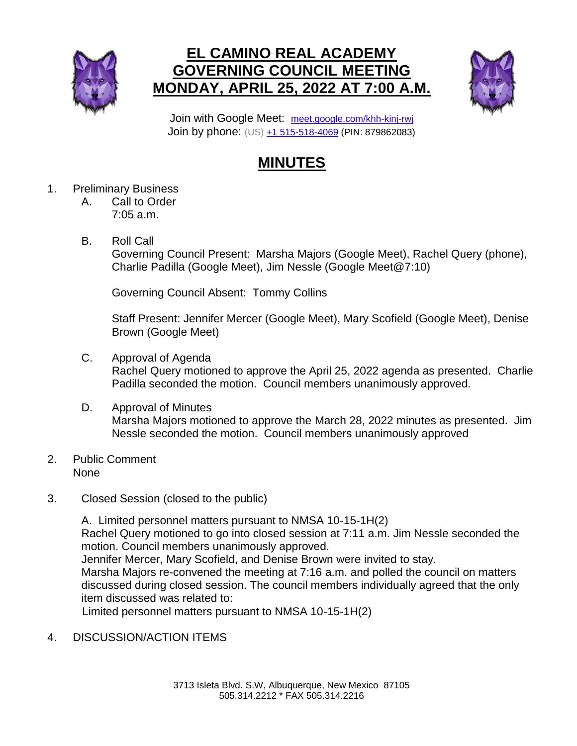

## **EL CAMINO REAL ACADEMY GOVERNING COUNCIL MEETING MONDAY, APRIL 25, 2022 AT 7:00 A.M.**



Join with Google Meet: [meet.google.com/khh-kinj-rwj](https://meet.google.com/khh-kinj-rwj?hs=224) Join by phone: (US) [+1 515-518-4069](tel:+1-515-518-4069;879862083) (PIN: 879862083)

## **MINUTES**

- 1. Preliminary Business
	- A. Call to Order 7:05 a.m.
	- B. Roll Call

Governing Council Present: Marsha Majors (Google Meet), Rachel Query (phone), Charlie Padilla (Google Meet), Jim Nessle (Google Meet@7:10)

Governing Council Absent: Tommy Collins

Staff Present: Jennifer Mercer (Google Meet), Mary Scofield (Google Meet), Denise Brown (Google Meet)

- C. Approval of Agenda Rachel Query motioned to approve the April 25, 2022 agenda as presented. Charlie Padilla seconded the motion. Council members unanimously approved.
- D. Approval of Minutes Marsha Majors motioned to approve the March 28, 2022 minutes as presented. Jim Nessle seconded the motion. Council members unanimously approved
- 2. Public Comment None
- 3. Closed Session (closed to the public)

A. Limited personnel matters pursuant to NMSA 10-15-1H(2) Rachel Query motioned to go into closed session at 7:11 a.m. Jim Nessle seconded the motion. Council members unanimously approved. Jennifer Mercer, Mary Scofield, and Denise Brown were invited to stay. Marsha Majors re-convened the meeting at 7:16 a.m. and polled the council on matters discussed during closed session. The council members individually agreed that the only item discussed was related to: Limited personnel matters pursuant to NMSA 10-15-1H(2)

4. DISCUSSION/ACTION ITEMS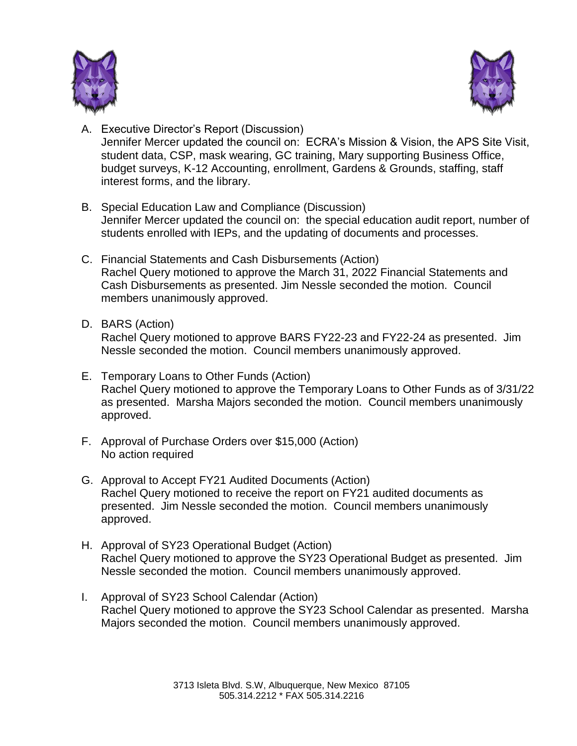



- A. Executive Director's Report (Discussion) Jennifer Mercer updated the council on: ECRA's Mission & Vision, the APS Site Visit, student data, CSP, mask wearing, GC training, Mary supporting Business Office, budget surveys, K-12 Accounting, enrollment, Gardens & Grounds, staffing, staff interest forms, and the library.
- B. Special Education Law and Compliance (Discussion) Jennifer Mercer updated the council on: the special education audit report, number of students enrolled with IEPs, and the updating of documents and processes.
- C. Financial Statements and Cash Disbursements (Action) Rachel Query motioned to approve the March 31, 2022 Financial Statements and Cash Disbursements as presented. Jim Nessle seconded the motion. Council members unanimously approved.
- D. BARS (Action)

Rachel Query motioned to approve BARS FY22-23 and FY22-24 as presented. Jim Nessle seconded the motion. Council members unanimously approved.

- E. Temporary Loans to Other Funds (Action) Rachel Query motioned to approve the Temporary Loans to Other Funds as of 3/31/22 as presented. Marsha Majors seconded the motion. Council members unanimously approved.
- F. Approval of Purchase Orders over \$15,000 (Action) No action required
- G. Approval to Accept FY21 Audited Documents (Action) Rachel Query motioned to receive the report on FY21 audited documents as presented. Jim Nessle seconded the motion. Council members unanimously approved.
- H. Approval of SY23 Operational Budget (Action) Rachel Query motioned to approve the SY23 Operational Budget as presented. Jim Nessle seconded the motion. Council members unanimously approved.
- I. Approval of SY23 School Calendar (Action) Rachel Query motioned to approve the SY23 School Calendar as presented. Marsha Majors seconded the motion. Council members unanimously approved.